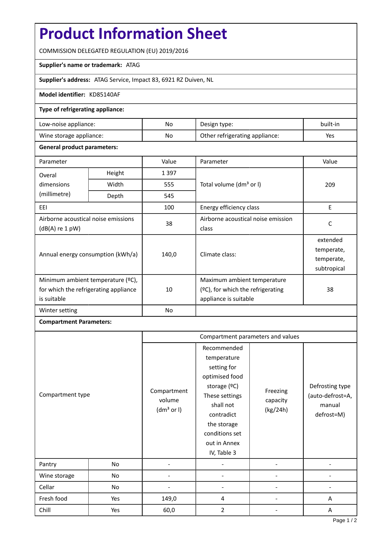# **Product Information Sheet**

COMMISSION DELEGATED REGULATION (EU) 2019/2016

## **Supplier's name or trademark:** ATAG

**Supplier's address:** ATAG Service, Impact 83, 6921 RZ Duiven, NL

## **Model identifier:** KD85140AF

## **Type of refrigerating appliance:**

| Low-noise appliance:    | No | Design type:                   | built-in |
|-------------------------|----|--------------------------------|----------|
| Wine storage appliance: | No | Other refrigerating appliance: | Yes      |

#### **General product parameters:**

| Parameter                                                                                 |        | Value   | Parameter                                                                                    | Value                                               |
|-------------------------------------------------------------------------------------------|--------|---------|----------------------------------------------------------------------------------------------|-----------------------------------------------------|
| Overal                                                                                    | Height | 1 3 9 7 |                                                                                              | 209                                                 |
| dimensions<br>(millimetre)                                                                | Width  | 555     | Total volume (dm <sup>3</sup> or I)                                                          |                                                     |
|                                                                                           | Depth  | 545     |                                                                                              |                                                     |
| EEI                                                                                       |        | 100     | Energy efficiency class                                                                      | E                                                   |
| Airborne acoustical noise emissions<br>$(dB(A)$ re 1 pW)                                  |        | 38      | Airborne acoustical noise emission<br>class                                                  | C                                                   |
| Annual energy consumption (kWh/a)                                                         |        | 140,0   | Climate class:                                                                               | extended<br>temperate,<br>temperate,<br>subtropical |
| Minimum ambient temperature (°C),<br>for which the refrigerating appliance<br>is suitable |        | 10      | Maximum ambient temperature<br>$(2C)$ , for which the refrigerating<br>appliance is suitable | 38                                                  |
| Winter setting                                                                            |        | No      |                                                                                              |                                                     |

# **Compartment Parameters:**

| Compartment type |     | Compartment parameters and values               |                                                                                                                                                                                            |                                  |                                                             |
|------------------|-----|-------------------------------------------------|--------------------------------------------------------------------------------------------------------------------------------------------------------------------------------------------|----------------------------------|-------------------------------------------------------------|
|                  |     | Compartment<br>volume<br>(dm <sup>3</sup> or I) | Recommended<br>temperature<br>setting for<br>optimised food<br>storage $(°C)$<br>These settings<br>shall not<br>contradict<br>the storage<br>conditions set<br>out in Annex<br>IV, Table 3 | Freezing<br>capacity<br>(kg/24h) | Defrosting type<br>(auto-defrost=A,<br>manual<br>defrost=M) |
| Pantry           | No  |                                                 |                                                                                                                                                                                            |                                  |                                                             |
| Wine storage     | No  |                                                 |                                                                                                                                                                                            |                                  |                                                             |
| Cellar           | No  |                                                 |                                                                                                                                                                                            |                                  |                                                             |
| Fresh food       | Yes | 149,0                                           | 4                                                                                                                                                                                          |                                  | Α                                                           |
| Chill            | Yes | 60,0                                            | 2                                                                                                                                                                                          |                                  | Α                                                           |